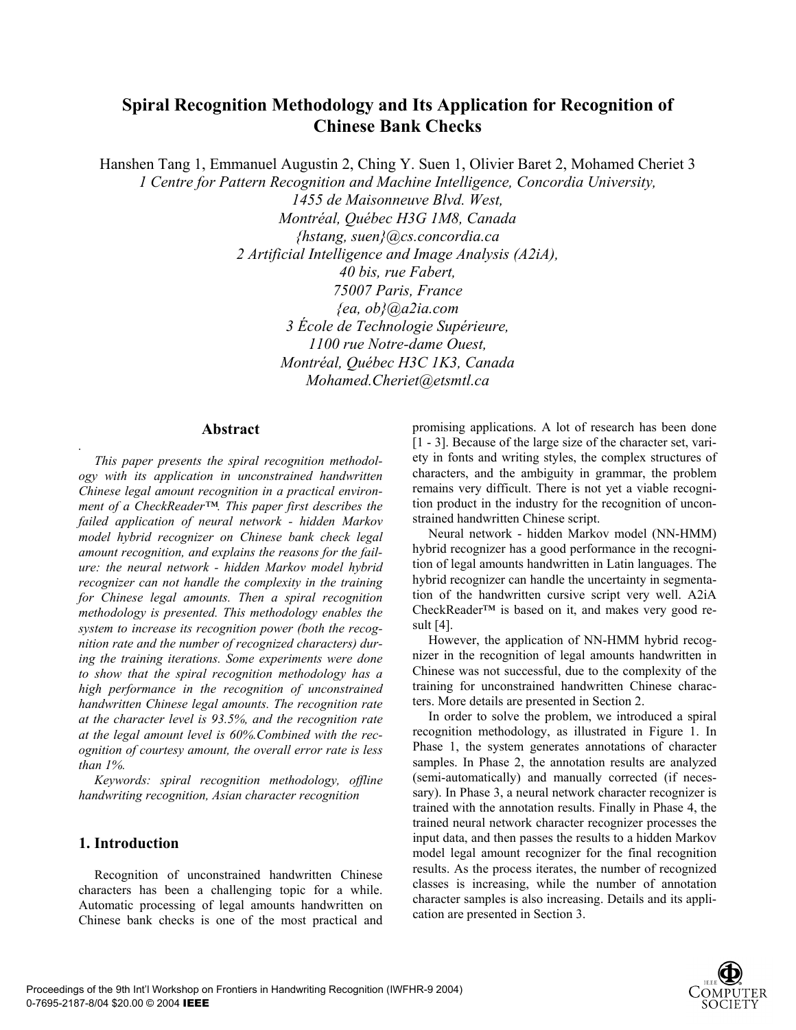# **Spiral Recognition Methodology and Its Application for Recognition of Chinese Bank Checks**

Hanshen Tang 1, Emmanuel Augustin 2, Ching Y. Suen 1, Olivier Baret 2, Mohamed Cheriet 3

*1 Centre for Pattern Recognition and Machine Intelligence, Concordia University,* 

*1455 de Maisonneuve Blvd. West, Montréal, Québec H3G 1M8, Canada {hstang, suen}@cs.concordia.ca 2 Artificial Intelligence and Image Analysis (A2iA), 40 bis, rue Fabert, 75007 Paris, France {ea, ob}@a2ia.com 3 École de Technologie Supérieure, 1100 rue Notre-dame Ouest, Montréal, Québec H3C 1K3, Canada Mohamed.Cheriet@etsmtl.ca* 

## **Abstract**

*This paper presents the spiral recognition methodology with its application in unconstrained handwritten Chinese legal amount recognition in a practical environment of a CheckReader™. This paper first describes the failed application of neural network - hidden Markov model hybrid recognizer on Chinese bank check legal amount recognition, and explains the reasons for the failure: the neural network - hidden Markov model hybrid recognizer can not handle the complexity in the training for Chinese legal amounts. Then a spiral recognition methodology is presented. This methodology enables the system to increase its recognition power (both the recognition rate and the number of recognized characters) during the training iterations. Some experiments were done to show that the spiral recognition methodology has a high performance in the recognition of unconstrained handwritten Chinese legal amounts. The recognition rate at the character level is 93.5%, and the recognition rate at the legal amount level is 60%.Combined with the recognition of courtesy amount, the overall error rate is less than 1%.* 

*Keywords: spiral recognition methodology, offline handwriting recognition, Asian character recognition* 

## **1. Introduction**

*.* 

Recognition of unconstrained handwritten Chinese characters has been a challenging topic for a while. Automatic processing of legal amounts handwritten on Chinese bank checks is one of the most practical and

promising applications. A lot of research has been done [1 - 3]. Because of the large size of the character set, variety in fonts and writing styles, the complex structures of characters, and the ambiguity in grammar, the problem remains very difficult. There is not yet a viable recognition product in the industry for the recognition of unconstrained handwritten Chinese script.

Neural network - hidden Markov model (NN-HMM) hybrid recognizer has a good performance in the recognition of legal amounts handwritten in Latin languages. The hybrid recognizer can handle the uncertainty in segmentation of the handwritten cursive script very well. A2iA CheckReader™ is based on it, and makes very good result [4].

However, the application of NN-HMM hybrid recognizer in the recognition of legal amounts handwritten in Chinese was not successful, due to the complexity of the training for unconstrained handwritten Chinese characters. More details are presented in Section 2.

In order to solve the problem, we introduced a spiral recognition methodology, as illustrated in Figure 1. In Phase 1, the system generates annotations of character samples. In Phase 2, the annotation results are analyzed (semi-automatically) and manually corrected (if necessary). In Phase 3, a neural network character recognizer is trained with the annotation results. Finally in Phase 4, the trained neural network character recognizer processes the input data, and then passes the results to a hidden Markov model legal amount recognizer for the final recognition results. As the process iterates, the number of recognized classes is increasing, while the number of annotation character samples is also increasing. Details and its application are presented in Section 3.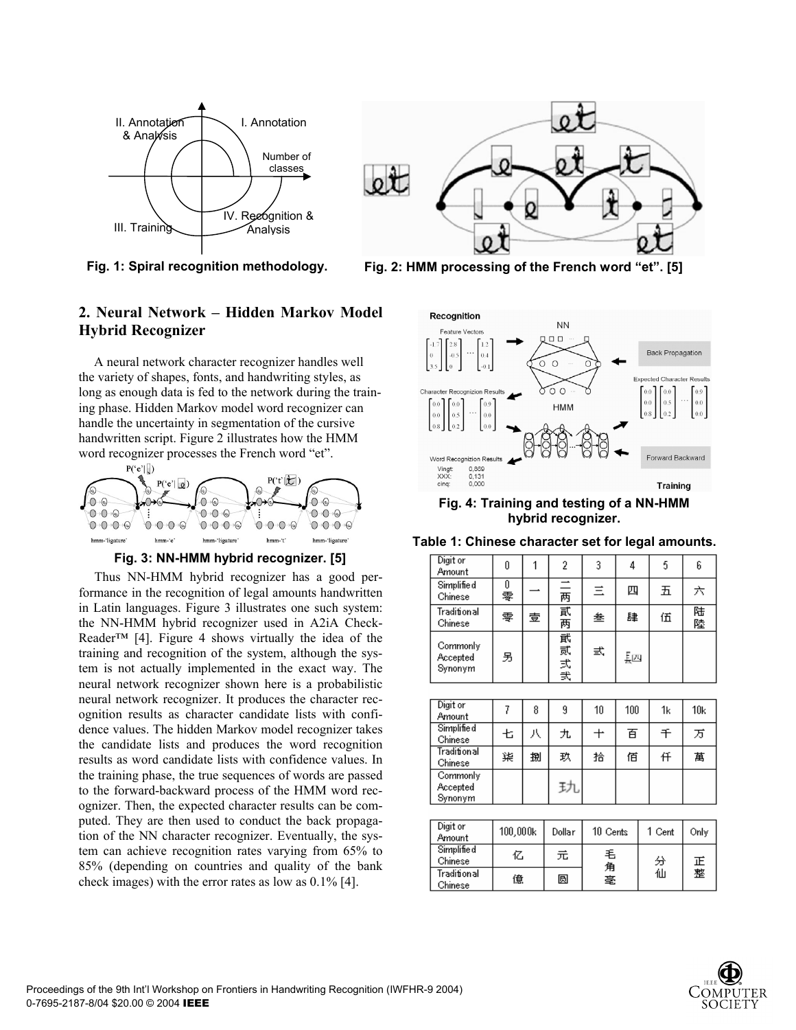





## **2. Neural Network – Hidden Markov Model Hybrid Recognizer**

A neural network character recognizer handles well the variety of shapes, fonts, and handwriting styles, as long as enough data is fed to the network during the training phase. Hidden Markov model word recognizer can handle the uncertainty in segmentation of the cursive handwritten script. Figure 2 illustrates how the HMM word recognizer processes the French word "et".



**Fig. 3: NN-HMM hybrid recognizer. [5]** 

Thus NN-HMM hybrid recognizer has a good performance in the recognition of legal amounts handwritten in Latin languages. Figure 3 illustrates one such system: the NN-HMM hybrid recognizer used in A2iA Check-Reader<sup>™</sup> [4]. Figure 4 shows virtually the idea of the training and recognition of the system, although the system is not actually implemented in the exact way. The neural network recognizer shown here is a probabilistic neural network recognizer. It produces the character recognition results as character candidate lists with confidence values. The hidden Markov model recognizer takes the candidate lists and produces the word recognition results as word candidate lists with confidence values. In the training phase, the true sequences of words are passed to the forward-backward process of the HMM word recognizer. Then, the expected character results can be computed. They are then used to conduct the back propagation of the NN character recognizer. Eventually, the system can achieve recognition rates varying from 65% to 85% (depending on countries and quality of the bank check images) with the error rates as low as 0.1% [4].



**Fig. 4: Training and testing of a NN-HMM hybrid recognizer.** 

**Table 1: Chinese character set for legal amounts.** 

| Digit or<br>Amount              | n      |   | 2            | 3 | 4  |   | 6  |
|---------------------------------|--------|---|--------------|---|----|---|----|
| Simplified<br>Chinese           | Ⅱ<br>零 |   | 三两           | 三 | 四  | 五 | 六  |
| Traditional<br>Chinese          | 零      | 壹 | 貳两           | 叁 | 肆  | 伍 | 陆陸 |
| Commonly<br>Accepted<br>Synonym | 另      |   | 貮<br>贰<br>式我 | 弍 | 툃쯰 |   |    |

| Digit or<br>Amount              |   | 8 | 9   | 10 | 100 | 1k | 10k |
|---------------------------------|---|---|-----|----|-----|----|-----|
| Simplified<br>Chinese           | 七 | 八 | 九   | ╈  | 百   | 千  | 万   |
| <b>Traditional</b><br>Chinese   | 柒 | 捌 | 玖   | 拾  | 佰   | 仟  | 萬   |
| Commonly<br>Accepted<br>Synonym |   |   | チフレ |    |     |    |     |

| Digit or<br>Amount     | 100,000k | Dollar | 10 Cents | 1 Cent | Only |
|------------------------|----------|--------|----------|--------|------|
| Simplified<br>Chinese  | 亿        | 元      | 毛<br>角   | 分      | 正    |
| Traditional<br>Chinese | 億        | 圆      | 毫        | 仙      | 整    |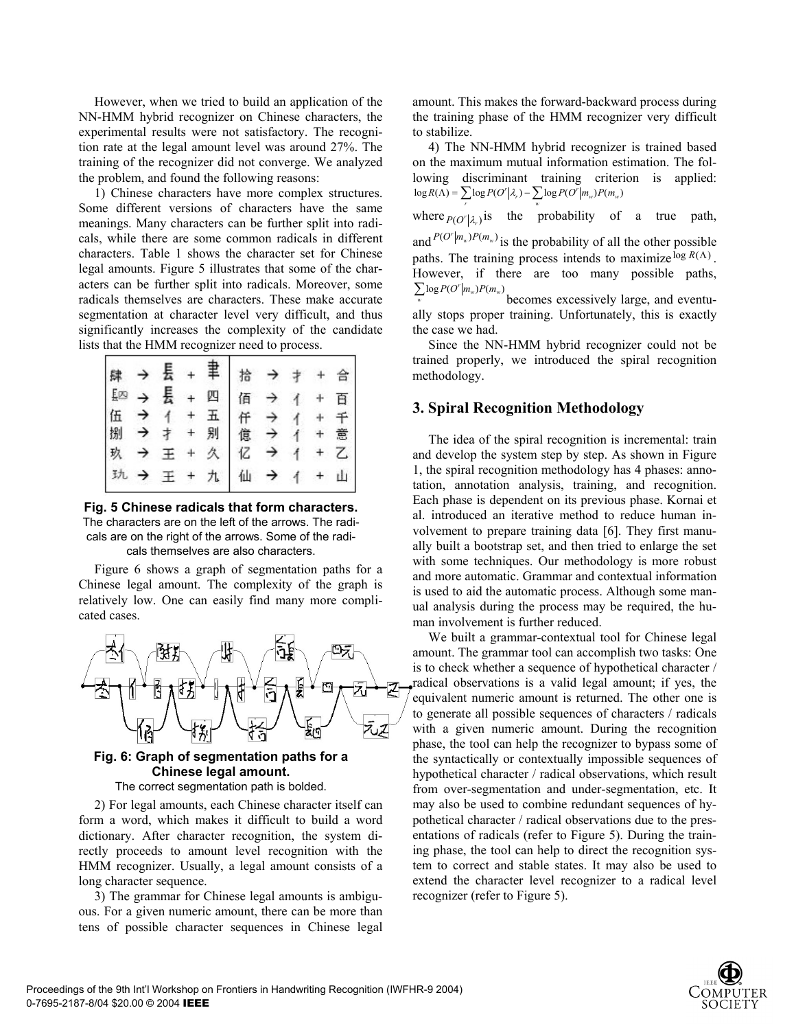However, when we tried to build an application of the NN-HMM hybrid recognizer on Chinese characters, the experimental results were not satisfactory. The recognition rate at the legal amount level was around 27%. The training of the recognizer did not converge. We analyzed the problem, and found the following reasons:

1) Chinese characters have more complex structures. Some different versions of characters have the same meanings. Many characters can be further split into radicals, while there are some common radicals in different characters. Table 1 shows the character set for Chinese legal amounts. Figure 5 illustrates that some of the characters can be further split into radicals. Moreover, some radicals themselves are characters. These make accurate segmentation at character level very difficult, and thus significantly increases the complexity of the candidate lists that the HMM recognizer need to process.

|     | $\rightarrow$ | 長 +                |         | 聿 | 拾       | $\rightarrow$ |                |       | 旨     |
|-----|---------------|--------------------|---------|---|---------|---------------|----------------|-------|-------|
|     | $\rightarrow$ | 長 +                |         | 四 | 佰 →     |               |                |       | 百     |
|     |               | $\left  \right $   |         | 五 |         |               | $\overline{A}$ |       |       |
| 伍 → |               |                    | $^{+}$  | 别 |         |               |                | $\pm$ | 意     |
| 玖   | $\rightarrow$ | $\boldsymbol{\Xi}$ | $\ddag$ | 久 | 仟 億 つ → |               | $\uparrow$     |       |       |
| 玑   | $\rightarrow$ | $\pm$ +            |         |   | 九仙      | $\rightarrow$ | $\overline{1}$ |       | $+$ 山 |

**Fig. 5 Chinese radicals that form characters.** 

The characters are on the left of the arrows. The radicals are on the right of the arrows. Some of the radicals themselves are also characters.

Figure 6 shows a graph of segmentation paths for a Chinese legal amount. The complexity of the graph is relatively low. One can easily find many more complicated cases.



#### **Fig. 6: Graph of segmentation paths for a Chinese legal amount.**

The correct segmentation path is bolded.

2) For legal amounts, each Chinese character itself can form a word, which makes it difficult to build a word dictionary. After character recognition, the system directly proceeds to amount level recognition with the HMM recognizer. Usually, a legal amount consists of a long character sequence.

3) The grammar for Chinese legal amounts is ambiguous. For a given numeric amount, there can be more than tens of possible character sequences in Chinese legal amount. This makes the forward-backward process during the training phase of the HMM recognizer very difficult to stabilize.

4) The NN-HMM hybrid recognizer is trained based on the maximum mutual information estimation. The following discriminant training criterion is applied:<br> $\sum_{k \in P(A)} \sum_{k \in P(A'|n)} \sum_{k \in P(A'|n)} p_{k(n)}$  $log R(\Lambda) = \sum_r log P(O^r | \lambda_r) - \sum_w log P(O^r | m_w) P(m_w)$ *r*

where  $p(O^r | \lambda_r)$  is the probability of a true path, and  $P(O^r | m_w)P(m_w)$  is the probability of all the other possible paths. The training process intends to maximize  $log R(\Lambda)$ . However, if there are too many possible paths,  $\sum_{w} \log P(O^r | m_w) P(m_w)$ 

becomes excessively large, and eventually stops proper training. Unfortunately, this is exactly the case we had.

Since the NN-HMM hybrid recognizer could not be trained properly, we introduced the spiral recognition methodology.

## **3. Spiral Recognition Methodology**

The idea of the spiral recognition is incremental: train and develop the system step by step. As shown in Figure 1, the spiral recognition methodology has 4 phases: annotation, annotation analysis, training, and recognition. Each phase is dependent on its previous phase. Kornai et al. introduced an iterative method to reduce human involvement to prepare training data [6]. They first manually built a bootstrap set, and then tried to enlarge the set with some techniques. Our methodology is more robust and more automatic. Grammar and contextual information is used to aid the automatic process. Although some manual analysis during the process may be required, the human involvement is further reduced.

We built a grammar-contextual tool for Chinese legal amount. The grammar tool can accomplish two tasks: One is to check whether a sequence of hypothetical character / radical observations is a valid legal amount; if yes, the equivalent numeric amount is returned. The other one is to generate all possible sequences of characters / radicals with a given numeric amount. During the recognition phase, the tool can help the recognizer to bypass some of the syntactically or contextually impossible sequences of hypothetical character / radical observations, which result from over-segmentation and under-segmentation, etc. It may also be used to combine redundant sequences of hypothetical character / radical observations due to the presentations of radicals (refer to Figure 5). During the training phase, the tool can help to direct the recognition system to correct and stable states. It may also be used to extend the character level recognizer to a radical level recognizer (refer to Figure 5).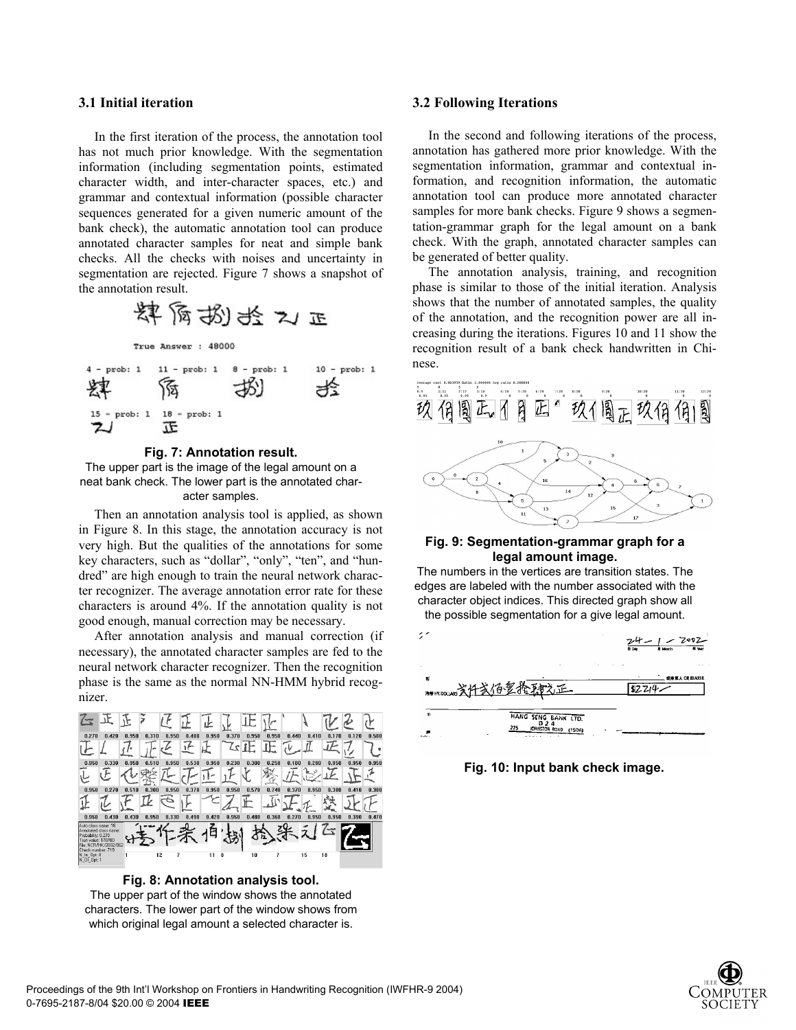#### **3.1 Initial iteration**

In the first iteration of the process, the annotation tool has not much prior knowledge. With the segmentation information (including segmentation points, estimated character width, and inter-character spaces, etc.) and grammar and contextual information (possible character sequences generated for a given numeric amount of the bank check), the automatic annotation tool can produce annotated character samples for neat and simple bank checks. All the checks with noises and uncertainty in segmentation are rejected. Figure 7 shows a snapshot of the annotation result.



**Fig. 7: Annotation result.** 

The upper part is the image of the legal amount on a neat bank check. The lower part is the annotated character samples.

Then an annotation analysis tool is applied, as shown in Figure 8. In this stage, the annotation accuracy is not very high. But the qualities of the annotations for some key characters, such as "dollar", "only", "ten", and "hundred" are high enough to train the neural network character recognizer. The average annotation error rate for these characters is around 4%. If the annotation quality is not good enough, manual correction may be necessary.

After annotation analysis and manual correction (if necessary), the annotated character samples are fed to the neural network character recognizer. Then the recognition phase is the same as the normal NN-HMM hybrid recognizer.



**Fig. 8: Annotation analysis tool.**  The upper part of the window shows the annotated characters. The lower part of the window shows from which original legal amount a selected character is.

#### **3.2 Following Iterations**

In the second and following iterations of the process, annotation has gathered more prior knowledge. With the segmentation information, grammar and contextual information, and recognition information, the automatic annotation tool can produce more annotated character samples for more bank checks. Figure 9 shows a segmentation-grammar graph for the legal amount on a bank check. With the graph, annotated character samples can be generated of better quality.

The annotation analysis, training, and recognition phase is similar to those of the initial iteration. Analysis shows that the number of annotated samples, the quality of the annotation, and the recognition power are all increasing during the iterations. Figures 10 and 11 show the recognition result of a bank check handwritten in Chinese.



#### **Fig. 9: Segmentation-grammar graph for a legal amount image.**

The numbers in the vertices are transition states. The edges are labeled with the number associated with the character object indices. This directed graph show all the possible segmentation for a give legal amount.



**Fig. 10: Input bank check image.** 

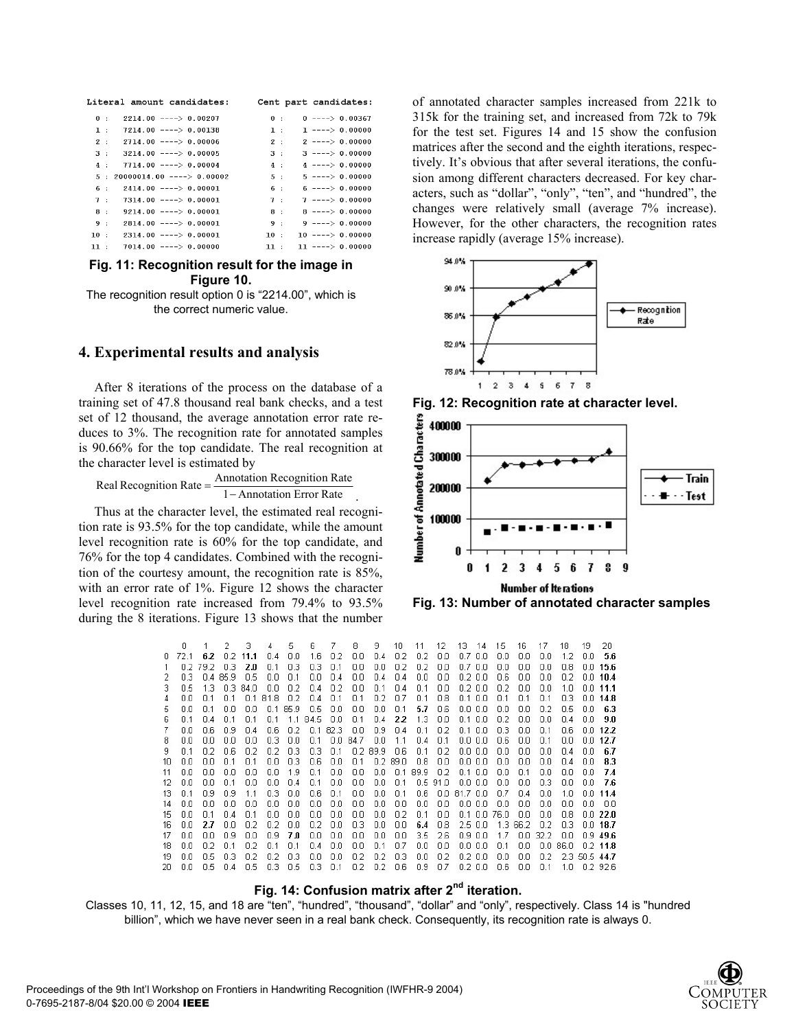|     | Literal amount candidates:  |     | Cent part candidates: |
|-----|-----------------------------|-----|-----------------------|
| 0:  | $2214.00$ ----> 0.00207     | 0:  | $0$ ----> 0.00367     |
| 1:  | $7214.00$ ----> 0.00138     | 1:  | $1$ ----> 0.00000     |
| 2:  | $2714.00$ ----> 0.00006     | 2:  | $2$ ----> 0.00000     |
| 3:  | $3214.00$ ----> 0.00005     | 3:  | $3$ ----> 0.00000     |
| 4:  | $7714.00$ ----> 0.00004     | 4:  | $4$ ----> 0.00000     |
| 5 : | $20000014.00$ ----> 0.00002 | 5 : | $5$ ----> 0.00000     |
| 6.: | $2414.00$ ----> 0.00001     | 6 : | $6$ ----> 0.00000     |
| 7:  | $7314.00$ ----> 0.00001     | 7:  | $7$ ----> 0.00000     |
| 8 : | $9214.00$ ----> 0.00001     | 8:  | $8$ ----> 0.00000     |
| 9:  | $2814.00$ ----> 0.00001     | 9:  | $9$ ----> 0.00000     |
| 10: | $2314.00$ ----> 0.00001     | 10: | $10$ ----> 0.00000    |
| 11: | $7014.00$ ----> 0.00000     | 11: | $11$ ----> 0.00000    |
|     |                             |     |                       |

#### **Fig. 11: Recognition result for the image in Figure 10.**

The recognition result option 0 is "2214.00", which is the correct numeric value.

#### **4. Experimental results and analysis**

After 8 iterations of the process on the database of a training set of 47.8 thousand real bank checks, and a test set of 12 thousand, the average annotation error rate reduces to 3%. The recognition rate for annotated samples is 90.66% for the top candidate. The real recognition at the character level is estimated by

1 – Annotation Error Rate Real Recognition Rate =  $\frac{\Delta n}{\Delta n}$  Recognition Rate

Thus at the character level, the estimated real recognition rate is 93.5% for the top candidate, while the amount level recognition rate is 60% for the top candidate, and 76% for the top 4 candidates. Combined with the recognition of the courtesy amount, the recognition rate is 85%, with an error rate of 1%. Figure 12 shows the character level recognition rate increased from 79.4% to 93.5% during the 8 iterations. Figure 13 shows that the number

of annotated character samples increased from 221k to 315k for the training set, and increased from 72k to 79k for the test set. Figures 14 and 15 show the confusion matrices after the second and the eighth iterations, respectively. It's obvious that after several iterations, the confusion among different characters decreased. For key characters, such as "dollar", "only", "ten", and "hundred", the changes were relatively small (average 7% increase). However, for the other characters, the recognition rates increase rapidly (average 15% increase).







**Fig. 13: Number of annotated character samples** 

|     | n   |     | 2                  | З           |     | 5.          | ĥ           | 7    | 8    | 9                | 10      | 11    | 12   | 13.      | 14           | 15          | 16   | 17          | 18          | 19          | 20           |
|-----|-----|-----|--------------------|-------------|-----|-------------|-------------|------|------|------------------|---------|-------|------|----------|--------------|-------------|------|-------------|-------------|-------------|--------------|
| n   |     | 6.2 | n 2.               | 11.1        | n 4 | 0.0         | 1.6         | 0.2  | 0.0  | 0.4              | 0.2     | 0.2   | 0.0  | 0.7      | 0.0          | 0.0         | 0.0  | 0.0         | 12          | Πn          | 5.6          |
|     | n 2 | 792 | -0.3               | 2.0         | 0.1 | 0.3         | 0.3         | 0.1  | 0.0  | 0.0              | 0.2     | 0.2   | 0.0  |          | 0.7 0.0      | 0.0         | 0.0  | 0.0         | 0.8         |             | $0.0\,15.6$  |
|     | 0.3 |     | 0.4 85.9           | 0.5         | 0.0 | 0.1         | 0.0.        | 0.4  | 0.0  | 0.4              | 0.4     | 0.0   | 0.0  |          | $0.2\,0.0$   | 0.6         | 0.0  | 0.0         | 0.2         |             | 0.0110.4     |
| 3.  | Ω5  | 13  | <u>лз</u>          | 84 N        | nπ  | 02          | $\Box$ 4    | -0.2 | 0.0  | 0.1              | 0.4     | 0.1   | 0.0  |          | $0.2\,0.0$   | n 2         | 0.0  | Ωn          | 1.0         |             | 0.011.1      |
|     | n n |     | n 1                | n 1         | 818 | 0.2         | 0.4         | 0.1  | 0.1  | 0.2 <sub>1</sub> | 0.7     | 0.1   | 0.8  | 0.1      | 0.0          | 0.1         | 0.1  | 0.1         | 03          |             | $0.0$ 14.8   |
| 5   | nη  | n 1 | n n                | nп          | n 1 | 85.9        | 0.5         | 0.0  | 0.0  | 0.0              | 0.1     | 5.7   | 0.6  |          | $0.0 \, 0.0$ | 0.0         | ΠN   | n 2         | n 5         | n n         | 6.3          |
| 6   | 0.1 | n 4 | n 1                | 0.1         | 0.1 | 1.1         | 84.5        | 0.0  | 0.1  | 0.4              | 22      | 1.3   | 0.0  |          | 0.1, 0.0     | 0.2         | 0.0  | 0.0         | $\bigcap$ 4 | 0.0         | 9.0          |
|     | 0.0 | 0.6 | n 9                | 0.4         | 0.6 | 0.2         | $\bigcap$ 1 | 82.3 | 0.0  | 0.9              | 0.4     | 0.1   | 0.2  | 0.1      | -0.0         | 0.3         | 0.0  | 0.1         | 0.6         |             | 0.012.2      |
| 8   | 0.0 | ΠN  | Πn                 | 0.0         | 03  | 0.0         | 0.1         | 0.0  | 84.7 | 0.0              | 1.1     | 0.4   | 0.1  | 0.0      | 0.0          | 0.6         | 0.0  | 0.1         | 0.0         | n n .       | 12.7         |
| 9   | 0.1 | n 2 | 0.6                | 0.2         | n 2 | 03          | 0.3         | 0.1  |      | 0.2 89.9         | 0.6     | 0.1   | 0.2  |          | 0.0 0.0      | 0.0         | 0.0  | 0.0         | $\bigcap$ 4 | Πn          | 6.7          |
| 10  | 0.0 | 0.0 | 0.1                | 0.1         | 0.0 | 0.3         | 0.6         | 0.0  | 0.1  |                  | 0.289.0 | 0.8   | 0.0  |          | $0.0 \, 0.0$ | 0.0         | 0.0  | 0.0         | 0.4         | 0.0         | 8.3          |
| 11  | nп  | ΠN  | nп                 | nπ          | nπ  | 1.9         | n 1         | n n  | ΠN   | n n              | n 1     | 899   | n 2  |          | $0.1\,0.0$   | nη          | n 1  | nη          | ΠN          | nπ          | 7.4          |
| 12  | nη  | nη  | n 1                | nη          | nη  | $\bigcap$ 4 | 0.1         | n n  | 0.0  | 0.0              | 0.1     | 0.5   | 91.0 | n n      | 0.0          | nη          | nη   | 03          | nπ          | nπ          | 7.6          |
| 13  | n 1 | Ω9  | n 9                | 11          | 0.3 | 0.0         | 0.6         | 0.1  | 0.0  | 0.0              | 0.1     | 0.6   | 0.0  | 81.7 0.0 |              | n 7         | 0.4  | 0.0         | 1 N         | n n         | 11.4         |
| 14  | 0.0 | 0.0 | 0.0                | 0.0         | 0.0 | 0.0         | 0.0         | 0.0  | 0.0  | 0.0              | 0.0     | 0.0   | 0.0  |          | 0.0 0.0      | 0.0         | 0.0  | 0.0         | 0.0         | 0.0         | 0.0          |
| 15  | Πn  | n 1 | n 4                | $\bigcap$ 1 | Πn  | 0.0         | 0.0         | 0.0. | 0.0  | 0.0              | 0.2     | 0.1   | 0.0  |          | $0.1$ 0.0    | 76.0        | n n  | ΠN          | n 8         |             | 0.0.22.0     |
| 16  | 0.0 | 2.7 | 0.0                | 0.2         | 0.2 | 0.0         | 0.2         | 0.0  | 0.3  | 0.0              | 0.0     | 6.4   | 0.8  |          | 2.5 0.0      | 1.3.        | 66.2 | 0.2         | 0.3         |             | 0.0118.7     |
| 17  | 00  | 00  | 0.9                | 0.0         | 09  | 70          | 0.0.        | 0.0  | 0.0  | 0.0              | 0.0     | 3.5   | 2.6  |          | $0.9\,0.0$   | 1.7         | n n  | 32.2        | 0.0         |             | $0.9 - 49.6$ |
| 18. | 0.0 | 0.2 | 0.1                | 0.2         | 0.1 | 0.1         | 0.4         | 0.0  | 0.0  | 0.1              | 0.7     | 0.0   | 0.0  |          | 0.0 0.0      | 0.1         | 0.0  | 0.0.        | 86.0        |             | $0.2$ 11.8   |
| 19  | пn  | n 5 | 03                 | n 2         | n 2 | 03          | n n         | n n  | 02   | 0.2 <sub>1</sub> | 0.3     | n n   | n 2  |          | በ2 በበ        | nп          | 0.0  | n 2.        |             | 23.505.44.7 |              |
| 20. | nп  | 0.5 | $\bigcap$ $\Delta$ | 0.5         | 0.3 | n 5         | -0.3        | 01   | 02   | 02               | $\Box$  | - 0.9 | n7   |          | 0200         | $\bigcap$ 6 | n n  | $\bigcap$ 1 | $1 \Omega$  |             | በ2.926       |

## **Fig. 14: Confusion matrix after 2nd iteration.**

Classes 10, 11, 12, 15, and 18 are "ten", "hundred", "thousand", "dollar" and "only", respectively. Class 14 is "hundred billion", which we have never seen in a real bank check. Consequently, its recognition rate is always 0.